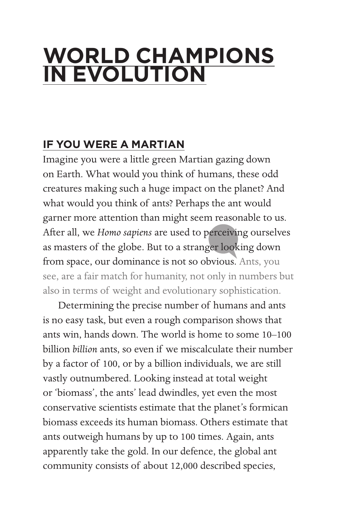## **WORLD CHAMPIONS IN EVOLUTION**

## **IF YOU WERE A MARTIAN**

Imagine you were a little green Martian gazing down on Earth. What would you think of humans, these odd creatures making such a huge impact on the planet? And what would you think of ants? Perhaps the ant would garner more attention than might seem reasonable to us. After all, we *Homo sapiens* are used to perceiving ourselves as masters of the globe. But to a stranger looking down from space, our dominance is not so obvious. Ants, you see, are a fair match for humanity, not only in numbers but also in terms of weight and evolutionary sophistication.

 Determining the precise number of humans and ants is no easy task, but even a rough comparison shows that ants win, hands down. The world is home to some 10–100 billion *billion* ants, so even if we miscalculate their number by a factor of 100, or by a billion individuals, we are still vastly outnumbered. Looking instead at total weight or 'biomass', the ants' lead dwindles, yet even the most conservative scientists estimate that the planet's formican biomass exceeds its human biomass. Others estimate that ants outweigh humans by up to 100 times. Again, ants apparently take the gold. In our defence, the global ant community consists of about 12,000 described species,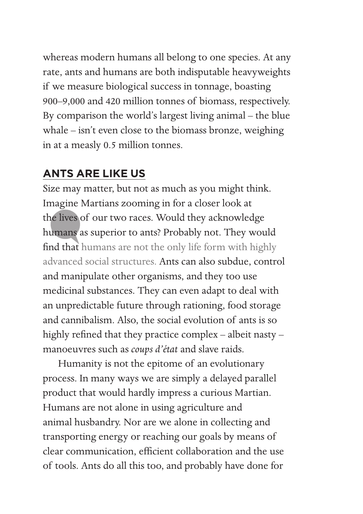whereas modern humans all belong to one species. At any rate, ants and humans are both indisputable heavyweights if we measure biological success in tonnage, boasting 900–9,000 and 420 million tonnes of biomass, respectively. By comparison the world's largest living animal – the blue whale – isn't even close to the biomass bronze, weighing in at a measly 0.5 million tonnes.

## **ANTS ARE LIKE US**

Size may matter, but not as much as you might think. Imagine Martians zooming in for a closer look at the lives of our two races. Would they acknowledge humans as superior to ants? Probably not. They would find that humans are not the only life form with highly advanced social structures. Ants can also subdue, control and manipulate other organisms, and they too use medicinal substances. They can even adapt to deal with an unpredictable future through rationing, food storage and cannibalism. Also, the social evolution of ants is so highly refined that they practice complex – albeit nasty – manoeuvres such as *coups d'état* and slave raids.

 Humanity is not the epitome of an evolutionary process. In many ways we are simply a delayed parallel product that would hardly impress a curious Martian. Humans are not alone in using agriculture and animal husbandry. Nor are we alone in collecting and transporting energy or reaching our goals by means of clear communication, efficient collaboration and the use of tools. Ants do all this too, and probably have done for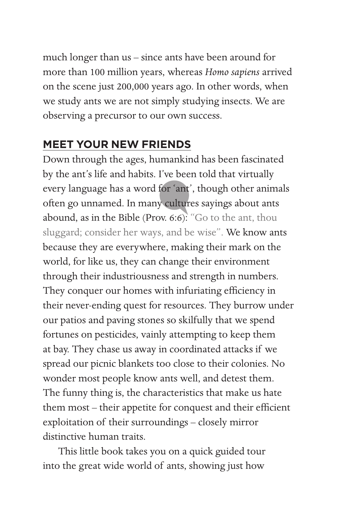much longer than us – since ants have been around for more than 100 million years, whereas *Homo sapiens* arrived on the scene just 200,000 years ago. In other words, when we study ants we are not simply studying insects. We are observing a precursor to our own success.

## **MEET YOUR NEW FRIENDS**

Down through the ages, humankind has been fascinated by the ant's life and habits. I've been told that virtually every language has a word for 'ant', though other animals often go unnamed. In many cultures sayings about ants abound, as in the Bible (Prov. 6:6): "Go to the ant, thou sluggard; consider her ways, and be wise". We know ants because they are everywhere, making their mark on the world, for like us, they can change their environment through their industriousness and strength in numbers. They conquer our homes with infuriating efficiency in their never-ending quest for resources. They burrow under our patios and paving stones so skilfully that we spend fortunes on pesticides, vainly attempting to keep them at bay. They chase us away in coordinated attacks if we spread our picnic blankets too close to their colonies. No wonder most people know ants well, and detest them. The funny thing is, the characteristics that make us hate them most – their appetite for conquest and their efficient exploitation of their surroundings – closely mirror distinctive human traits.

 This little book takes you on a quick guided tour into the great wide world of ants, showing just how